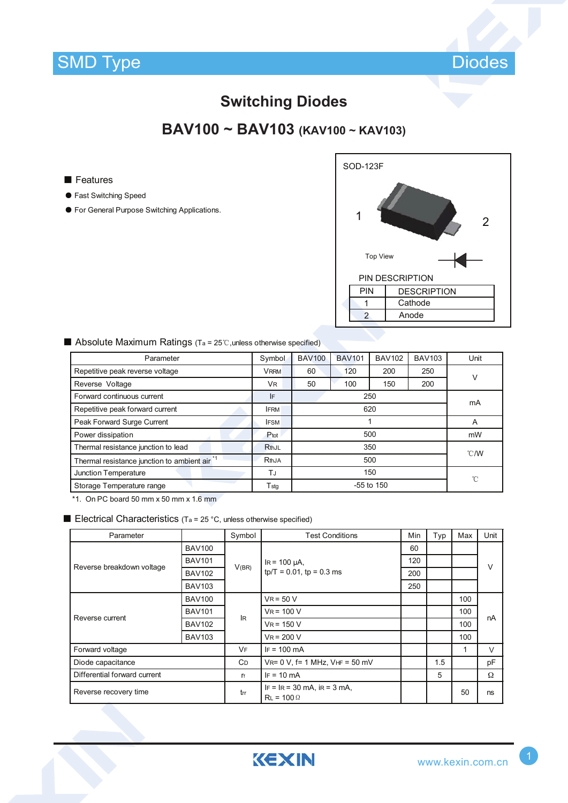

### **Switching Diodes**

## **BAV100 ~ BAV103 (KAV100 ~ KAV103)**

#### ■ Features

- Fast Switching Speed
- For General Purpose Switching Applications.

| <b>SOD-123F</b> |                    |
|-----------------|--------------------|
|                 | $\overline{2}$     |
| <b>Top View</b> |                    |
|                 | PIN DESCRIPTION    |
| PIN             | <b>DESCRIPTION</b> |
|                 | Cathode            |
| $\overline{2}$  | Anode              |
|                 |                    |

#### ■ Absolute Maximum Ratings (Ta = 25℃, unless otherwise specified)

| Parameter                                                | Symbol      | <b>BAV100</b> | <b>BAV101</b> | <b>BAV102</b> | <b>BAV103</b> | Unit |  |
|----------------------------------------------------------|-------------|---------------|---------------|---------------|---------------|------|--|
| Repetitive peak reverse voltage                          | <b>VRRM</b> | 60            | 120           | 200           | 250           | v    |  |
| Reverse Voltage                                          | <b>VR</b>   | 50            | 100           | 150           | 200           |      |  |
| Forward continuous current                               | IF          | 250           |               |               |               | mA   |  |
| Repetitive peak forward current                          | <b>IFRM</b> | 620           |               |               |               |      |  |
| Peak Forward Surge Current                               | <b>IFSM</b> |               |               |               |               | A    |  |
| Power dissipation                                        | Ptot        | 500           |               |               | mW            |      |  |
| Thermal resistance junction to lead                      | RthJL       | 350           |               |               | °C/W          |      |  |
| Thermal resistance junction to ambient air <sup>*1</sup> | RthJA       | 500           |               |               |               |      |  |
| Junction Temperature                                     | TJ          | 150           |               |               | °C            |      |  |
| Storage Temperature range                                | Tstg        | -55 to 150    |               |               |               |      |  |

\*1. On PC board 50 mm x 50 mm x 1.6 mm

#### **Electrical Characteristics** (T<sub>a</sub> = 25 °C, unless otherwise specified)

| Parameter                    |               |            | <b>Test Conditions</b>                                  | Min | Typ | Max          | Unit   |  |
|------------------------------|---------------|------------|---------------------------------------------------------|-----|-----|--------------|--------|--|
| Reverse breakdown voltage    | <b>BAV100</b> |            |                                                         | 60  |     |              | $\vee$ |  |
|                              | <b>BAV101</b> | V(BR)      | $IR = 100 \mu A$ ,<br>$tp/T = 0.01$ , $tp = 0.3$ ms     | 120 |     |              |        |  |
|                              | <b>BAV102</b> |            |                                                         | 200 |     |              |        |  |
|                              | <b>BAV103</b> |            |                                                         | 250 |     |              |        |  |
| Reverse current              | <b>BAV100</b> | lR.        | $V_R$ = 50 V                                            |     |     | 100          |        |  |
|                              | <b>BAV101</b> |            | $V_R = 100 V$                                           |     |     | 100          | nA     |  |
|                              | <b>BAV102</b> |            | $V_R = 150 V$                                           |     |     | 100          |        |  |
|                              | <b>BAV103</b> |            | $V_R = 200 V$                                           |     |     | 100          |        |  |
| Forward voltage              |               | <b>VF</b>  | $IF = 100 \, mA$                                        |     |     | $\mathbf{1}$ | V      |  |
| Diode capacitance            |               | <b>C</b> D | $V_{R} = 0 V$ , f = 1 MHz, $V_{HF} = 50$ mV             |     | 1.5 |              | pF     |  |
| Differential forward current |               | $r_f$      | $IF = 10 mA$                                            |     | 5   |              | Ω      |  |
| Reverse recovery time        |               | trr        | $IF = IR = 30 mA$ , $IR = 3 mA$ ,<br>$R_L = 100 \Omega$ |     |     | 50           | ns     |  |

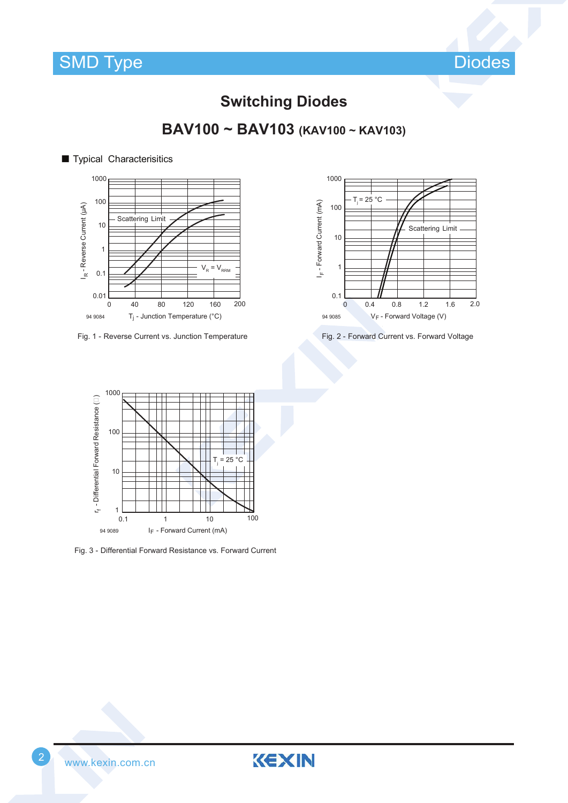



### **Switching Diodes**

**BAV100 ~ BAV103 (KAV100 ~ KAV103)**



Fig. 1 - Reverse Current vs. Junction Temperature Fig. 2 - Forward Current vs. Forward Voltage





Fig. 3 - Differential Forward Resistance vs. Forward Current



KEXIN